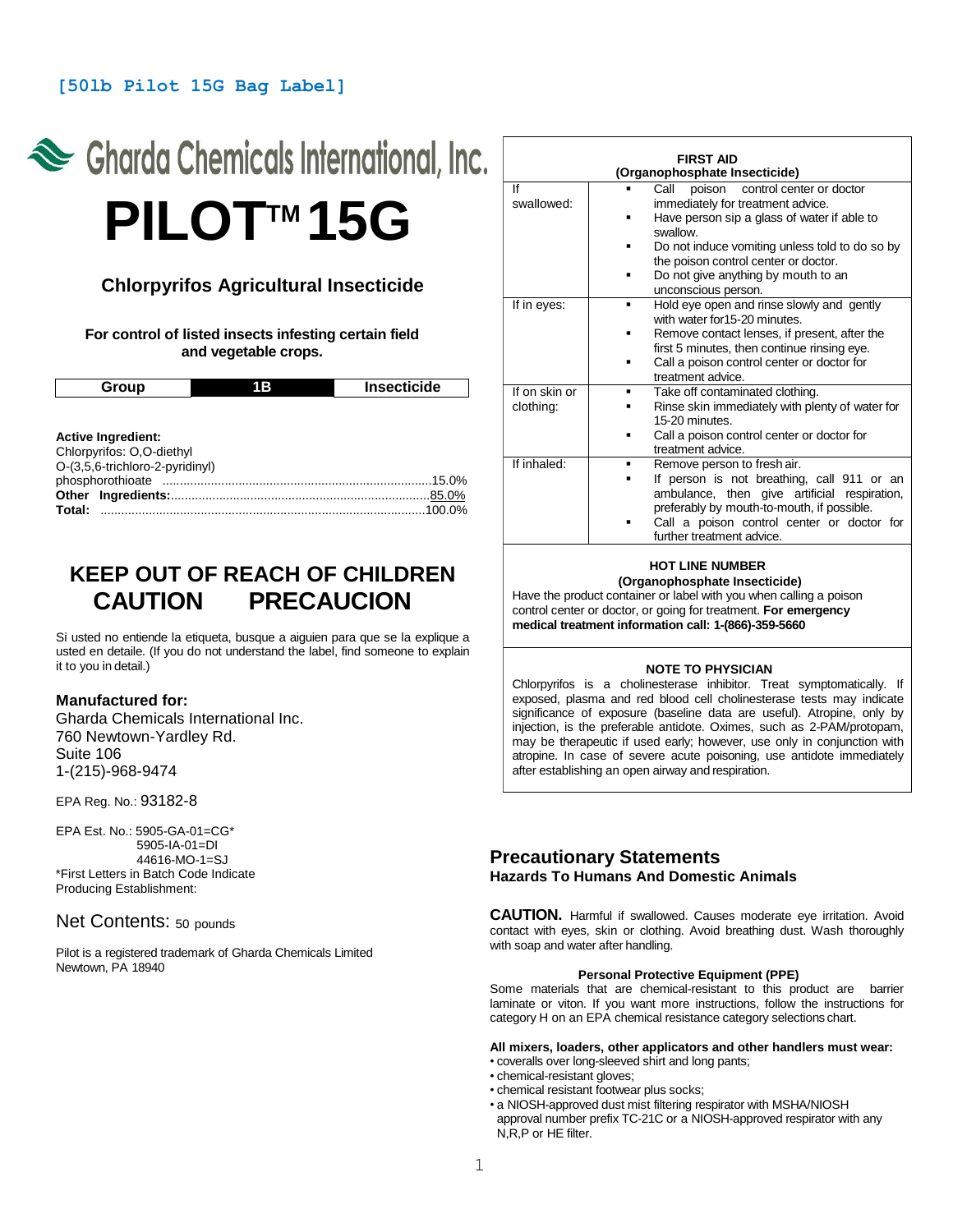## **[50lb Pilot 15G Bag Label]**

# Charda Chemicals International, Inc. **PILOTTM 15G**

# **Chlorpyrifos Agricultural Insecticide**

**For control of listed insects infesting certain field and vegetable crops.**

| Group                     | 1B | <b>Insecticide</b> |
|---------------------------|----|--------------------|
|                           |    |                    |
| <b>Active Ingredient:</b> |    |                    |

| Chlorpyrifos: O.O-diethyl       |  |
|---------------------------------|--|
| O-(3,5,6-trichloro-2-pyridinyl) |  |
|                                 |  |
|                                 |  |
|                                 |  |

# **KEEP OUT OF REACH OF CHILDREN CAUTION PRECAUCION**

Si usted no entiende la etiqueta, busque a aiguien para que se la explique a usted en detaile. (If you do not understand the label, find someone to explain it to you in detail.)

## **Manufactured for:**

Gharda Chemicals International Inc. 760 Newtown-Yardley Rd. Suite 106 1-(215)-968-9474

EPA Reg. No.: 93182-8

EPA Est. No.: 5905-GA-01=CG\* 5905-IA-01=DI 44616-MO-1=SJ \*First Letters in Batch Code Indicate Producing Establishment:

## Net Contents: 50 pounds

Pilot is a registered trademark of Gharda Chemicals Limited Newtown, PA 18940

| <b>FIRST AID</b><br>(Organophosphate Insecticide) |                                                                                                                                               |  |
|---------------------------------------------------|-----------------------------------------------------------------------------------------------------------------------------------------------|--|
| lf                                                | Call<br>poison control center or doctor                                                                                                       |  |
| swallowed:                                        | immediately for treatment advice.                                                                                                             |  |
|                                                   | Have person sip a glass of water if able to<br>swallow.                                                                                       |  |
|                                                   | Do not induce vomiting unless told to do so by                                                                                                |  |
|                                                   | the poison control center or doctor.                                                                                                          |  |
|                                                   | Do not give anything by mouth to an<br>unconscious person.                                                                                    |  |
| If in eyes:                                       | Hold eye open and rinse slowly and gently<br>٠<br>with water for 15-20 minutes.                                                               |  |
|                                                   | Remove contact lenses, if present, after the<br>first 5 minutes, then continue rinsing eye.                                                   |  |
|                                                   | Call a poison control center or doctor for<br>treatment advice.                                                                               |  |
| If on skin or                                     | Take off contaminated clothing.<br>٠                                                                                                          |  |
| clothing:                                         | Rinse skin immediately with plenty of water for<br>15-20 minutes.                                                                             |  |
|                                                   | Call a poison control center or doctor for<br>treatment advice.                                                                               |  |
| If inhaled:                                       | Remove person to fresh air.<br>٠                                                                                                              |  |
|                                                   | If person is not breathing, call 911 or an<br>٠<br>ambulance, then give artificial respiration,<br>preferably by mouth-to-mouth, if possible. |  |
|                                                   | Call a poison control center or doctor for<br>Ξ<br>further treatment advice.                                                                  |  |

#### **HOT LINE NUMBER (Organophosphate Insecticide)**

Have the product container or label with you when calling a poison control center or doctor, or going for treatment. **For emergency medical treatment information call: 1-(866)-359-5660**

#### **NOTE TO PHYSICIAN**

Chlorpyrifos is a cholinesterase inhibitor. Treat symptomatically. If exposed, plasma and red blood cell cholinesterase tests may indicate significance of exposure (baseline data are useful). Atropine, only by injection, is the preferable antidote. Oximes, such as 2-PAM/protopam, may be therapeutic if used early; however, use only in conjunction with atropine. In case of severe acute poisoning, use antidote immediately after establishing an open airway and respiration.

## **Precautionary Statements Hazards To Humans And Domestic Animals**

**CAUTION.** Harmful if swallowed. Causes moderate eye irritation. Avoid contact with eyes, skin or clothing. Avoid breathing dust. Wash thoroughly with soap and water after handling.

## **Personal Protective Equipment (PPE)**

Some materials that are chemical-resistant to this product are barrier laminate or viton. If you want more instructions, follow the instructions for category H on an EPA chemical resistance category selections chart.

#### **All mixers, loaders, other applicators and other handlers must wear:**

- coveralls over long-sleeved shirt and long pants;
- chemical-resistant gloves;
- chemical resistant footwear plus socks;
- a NIOSH-approved dust mist filtering respirator with MSHA/NIOSH approval number prefix TC-21C or a NIOSH-approved respirator with any N,R,P or HE filter.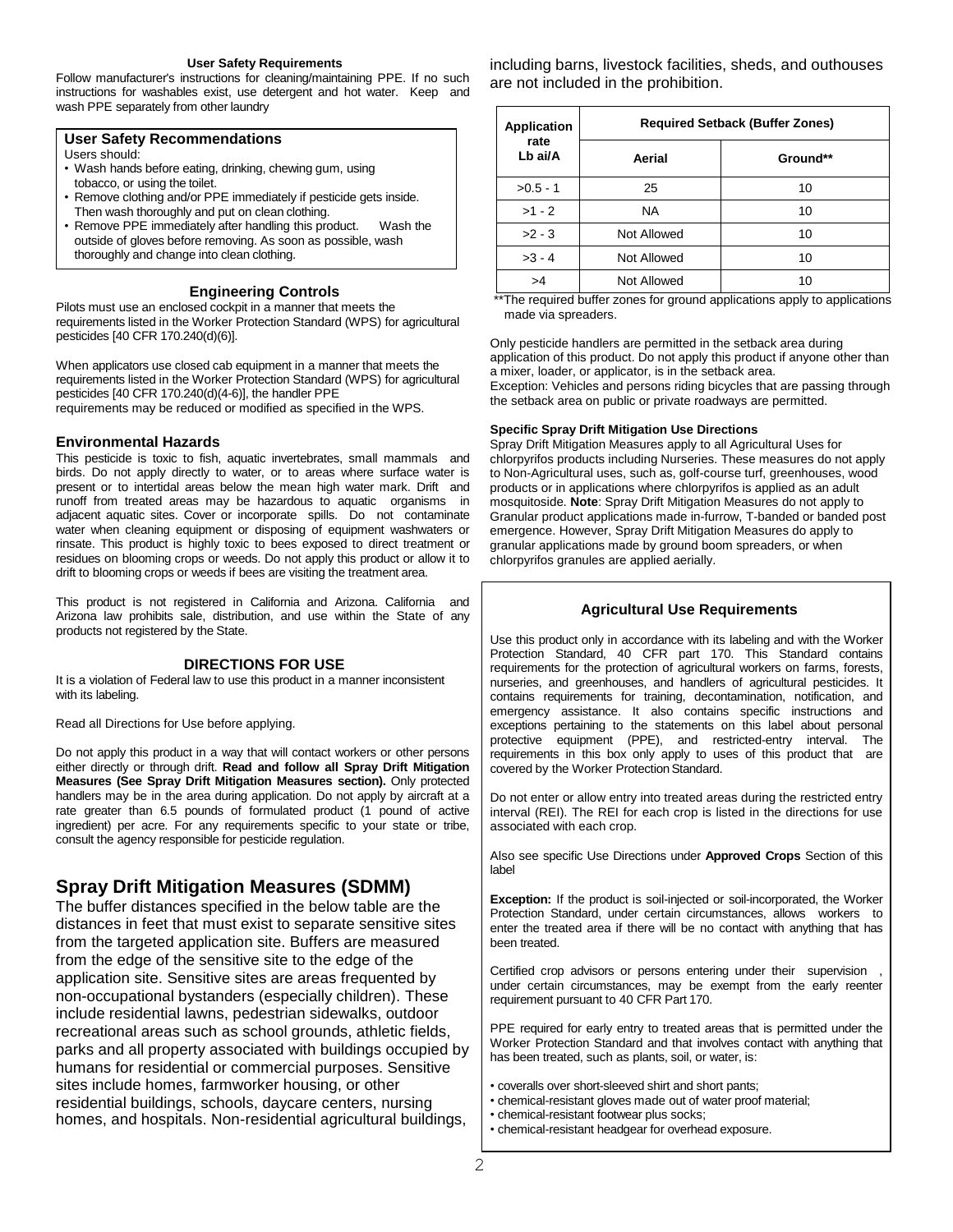#### **User Safety Requirements**

Follow manufacturer's instructions for cleaning/maintaining PPE. If no such instructions for washables exist, use detergent and hot water. Keep and wash PPE separately from other laundry

#### **User Safety Recommendations**

Users should:

- Wash hands before eating, drinking, chewing gum, using tobacco, or using the toilet.
- Remove clothing and/or PPE immediately if pesticide gets inside. Then wash thoroughly and put on clean clothing.
- Remove PPE immediately after handling this product. Wash the outside of gloves before removing. As soon as possible, wash thoroughly and change into clean clothing.

## **Engineering Controls**

Pilots must use an enclosed cockpit in a manner that meets the requirements listed in the Worker Protection Standard (WPS) for agricultural pesticides [40 CFR 170.240(d)(6)].

When applicators use closed cab equipment in a manner that meets the requirements listed in the Worker Protection Standard (WPS) for agricultural pesticides [40 CFR 170.240(d)(4-6)], the handler PPE requirements may be reduced or modified as specified in the WPS.

## **Environmental Hazards**

This pesticide is toxic to fish, aquatic invertebrates, small mammals and birds. Do not apply directly to water, or to areas where surface water is present or to intertidal areas below the mean high water mark. Drift and runoff from treated areas may be hazardous to aquatic organisms in adjacent aquatic sites. Cover or incorporate spills. Do not contaminate water when cleaning equipment or disposing of equipment washwaters or rinsate. This product is highly toxic to bees exposed to direct treatment or residues on blooming crops or weeds. Do not apply this product or allow it to drift to blooming crops or weeds if bees are visiting the treatment area.

This product is not registered in California and Arizona. California and Arizona law prohibits sale, distribution, and use within the State of any products not registered by the State.

#### **DIRECTIONS FOR USE**

It is a violation of Federal law to use this product in a manner inconsistent with its labeling.

Read all Directions for Use before applying.

Do not apply this product in a way that will contact workers or other persons either directly or through drift. **Read and follow all Spray Drift Mitigation Measures (See Spray Drift Mitigation Measures section).** Only protected handlers may be in the area during application. Do not apply by aircraft at a rate greater than 6.5 pounds of formulated product (1 pound of active ingredient) per acre. For any requirements specific to your state or tribe, consult the agency responsible for pesticide regulation.

# **Spray Drift Mitigation Measures (SDMM)**

The buffer distances specified in the below table are the distances in feet that must exist to separate sensitive sites from the targeted application site. Buffers are measured from the edge of the sensitive site to the edge of the application site. Sensitive sites are areas frequented by non-occupational bystanders (especially children). These include residential lawns, pedestrian sidewalks, outdoor recreational areas such as school grounds, athletic fields, parks and all property associated with buildings occupied by humans for residential or commercial purposes. Sensitive sites include homes, farmworker housing, or other residential buildings, schools, daycare centers, nursing homes, and hospitals. Non-residential agricultural buildings,

including barns, livestock facilities, sheds, and outhouses are not included in the prohibition.

| <b>Application</b> |             | <b>Required Setback (Buffer Zones)</b> |
|--------------------|-------------|----------------------------------------|
| rate<br>Lb ai/A    | Aerial      | Ground**                               |
| $>0.5 - 1$         | 25          | 10                                     |
| $>1 - 2$           | <b>NA</b>   | 10                                     |
| $>2 - 3$           | Not Allowed | 10                                     |
| $>3 - 4$           | Not Allowed | 10                                     |
| >4                 | Not Allowed | 10                                     |

\*\*The required buffer zones for ground applications apply to applications made via spreaders.

Only pesticide handlers are permitted in the setback area during application of this product. Do not apply this product if anyone other than a mixer, loader, or applicator, is in the setback area. Exception: Vehicles and persons riding bicycles that are passing through the setback area on public or private roadways are permitted.

#### **Specific Spray Drift Mitigation Use Directions**

Spray Drift Mitigation Measures apply to all Agricultural Uses for chlorpyrifos products including Nurseries. These measures do not apply to Non-Agricultural uses, such as, golf-course turf, greenhouses, wood products or in applications where chlorpyrifos is applied as an adult mosquitoside. **Note**: Spray Drift Mitigation Measures do not apply to Granular product applications made in-furrow, T-banded or banded post emergence. However, Spray Drift Mitigation Measures do apply to granular applications made by ground boom spreaders, or when chlorpyrifos granules are applied aerially.

## **Agricultural Use Requirements**

Use this product only in accordance with its labeling and with the Worker Protection Standard, 40 CFR part 170. This Standard contains requirements for the protection of agricultural workers on farms, forests, nurseries, and greenhouses, and handlers of agricultural pesticides. It contains requirements for training, decontamination, notification, and emergency assistance. It also contains specific instructions and exceptions pertaining to the statements on this label about personal protective equipment (PPE), and restricted-entry interval. The requirements in this box only apply to uses of this product that are covered by the Worker Protection Standard.

Do not enter or allow entry into treated areas during the restricted entry interval (REI). The REI for each crop is listed in the directions for use associated with each crop.

Also see specific Use Directions under **Approved Crops** Section of this label

**Exception:** If the product is soil-injected or soil-incorporated, the Worker Protection Standard, under certain circumstances, allows workers to enter the treated area if there will be no contact with anything that has been treated.

Certified crop advisors or persons entering under their supervision under certain circumstances, may be exempt from the early reenter requirement pursuant to 40 CFR Part 170.

PPE required for early entry to treated areas that is permitted under the Worker Protection Standard and that involves contact with anything that has been treated, such as plants, soil, or water, is:

- coveralls over short-sleeved shirt and short pants;
- chemical-resistant gloves made out of water proof material;
- chemical-resistant footwear plus socks;
- chemical-resistant headgear for overhead exposure.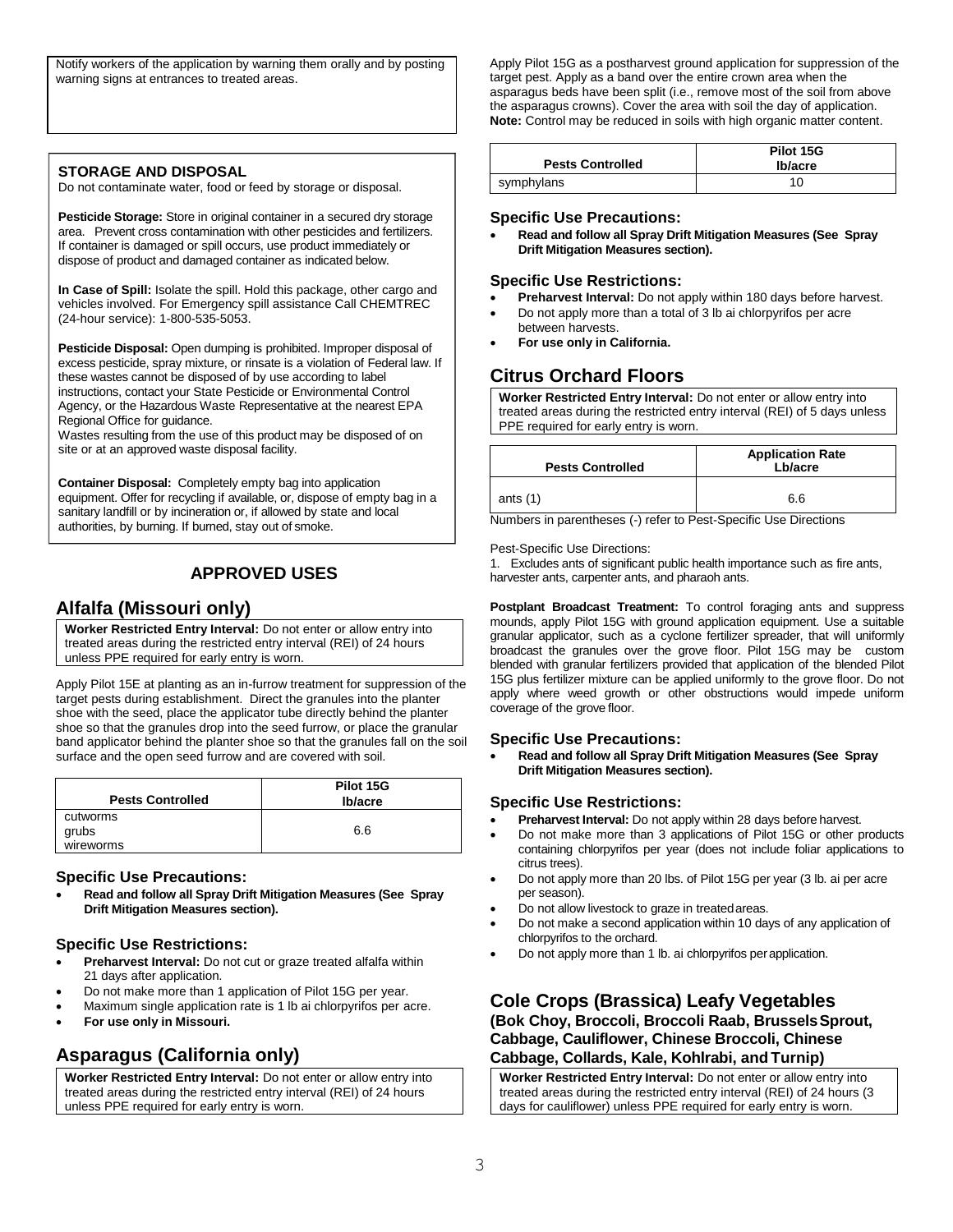Notify workers of the application by warning them orally and by posting warning signs at entrances to treated areas.

## **STORAGE AND DISPOSAL**

Do not contaminate water, food or feed by storage or disposal.

**Pesticide Storage:** Store in original container in a secured dry storage area. Prevent cross contamination with other pesticides and fertilizers. If container is damaged or spill occurs, use product immediately or dispose of product and damaged container as indicated below.

**In Case of Spill:** Isolate the spill. Hold this package, other cargo and vehicles involved. For Emergency spill assistance Call CHEMTREC (24-hour service): 1-800-535-5053.

Pesticide Disposal: Open dumping is prohibited. Improper disposal of excess pesticide, spray mixture, or rinsate is a violation of Federal law. If these wastes cannot be disposed of by use according to label instructions, contact your State Pesticide or Environmental Control Agency, or the Hazardous Waste Representative at the nearest EPA Regional Office for guidance.

Wastes resulting from the use of this product may be disposed of on site or at an approved waste disposal facility.

**Container Disposal:** Completely empty bag into application equipment. Offer for recycling if available, or, dispose of empty bag in a sanitary landfill or by incineration or, if allowed by state and local authorities, by burning. If burned, stay out of smoke.

## **APPROVED USES**

## **Alfalfa (Missouri only)**

**Worker Restricted Entry Interval:** Do not enter or allow entry into treated areas during the restricted entry interval (REI) of 24 hours unless PPE required for early entry is worn.

Apply Pilot 15E at planting as an in-furrow treatment for suppression of the target pests during establishment. Direct the granules into the planter shoe with the seed, place the applicator tube directly behind the planter shoe so that the granules drop into the seed furrow, or place the granular band applicator behind the planter shoe so that the granules fall on the soil surface and the open seed furrow and are covered with soil.

| <b>Pests Controlled</b> | Pilot 15G<br>Ib/acre |
|-------------------------|----------------------|
| cutworms                |                      |
| grubs                   | 6.6                  |
| wireworms               |                      |

#### **Specific Use Precautions:**

• **Read and follow all Spray Drift Mitigation Measures (See Spray Drift Mitigation Measures section).**

## **Specific Use Restrictions:**

- **Preharvest Interval:** Do not cut or graze treated alfalfa within 21 days after application.
- Do not make more than 1 application of Pilot 15G per year.
- Maximum single application rate is 1 lb ai chlorpyrifos per acre.
- **For use only in Missouri.**

# **Asparagus (California only)**

**Worker Restricted Entry Interval:** Do not enter or allow entry into treated areas during the restricted entry interval (REI) of 24 hours unless PPE required for early entry is worn.

Apply Pilot 15G as a postharvest ground application for suppression of the target pest. Apply as a band over the entire crown area when the asparagus beds have been split (i.e., remove most of the soil from above the asparagus crowns). Cover the area with soil the day of application. **Note:** Control may be reduced in soils with high organic matter content.

| <b>Pests Controlled</b> | Pilot 15G<br>Ib/acre |
|-------------------------|----------------------|
| symphylans              | 10                   |

## **Specific Use Precautions:**

• **Read and follow all Spray Drift Mitigation Measures (See Spray Drift Mitigation Measures section).**

## **Specific Use Restrictions:**

- **Preharvest Interval:** Do not apply within 180 days before harvest.
- Do not apply more than a total of 3 lb ai chlorpyrifos per acre between harvests.
- **For use only in California.**

## **Citrus Orchard Floors**

**Worker Restricted Entry Interval:** Do not enter or allow entry into treated areas during the restricted entry interval (REI) of 5 days unless PPE required for early entry is worn.

| <b>Pests Controlled</b> | <b>Application Rate</b><br>Lb/acre |
|-------------------------|------------------------------------|
| ants $(1)$              | 6.6                                |

Numbers in parentheses (-) refer to Pest-Specific Use Directions

Pest-Specific Use Directions:

1. Excludes ants of significant public health importance such as fire ants, harvester ants, carpenter ants, and pharaoh ants.

**Postplant Broadcast Treatment:** To control foraging ants and suppress mounds, apply Pilot 15G with ground application equipment. Use a suitable granular applicator, such as a cyclone fertilizer spreader, that will uniformly broadcast the granules over the grove floor. Pilot 15G may be custom blended with granular fertilizers provided that application of the blended Pilot 15G plus fertilizer mixture can be applied uniformly to the grove floor. Do not apply where weed growth or other obstructions would impede uniform coverage of the grove floor.

## **Specific Use Precautions:**

• **Read and follow all Spray Drift Mitigation Measures (See Spray Drift Mitigation Measures section).**

## **Specific Use Restrictions:**

- **Preharvest Interval:** Do not apply within 28 days before harvest.
- Do not make more than 3 applications of Pilot 15G or other products containing chlorpyrifos per year (does not include foliar applications to citrus trees).
- Do not apply more than 20 lbs. of Pilot 15G per year (3 lb. ai per acre per season).
- Do not allow livestock to graze in treated areas.
- Do not make a second application within 10 days of any application of chlorpyrifos to the orchard.
- Do not apply more than 1 lb. ai chlorpyrifos perapplication.

## **Cole Crops (Brassica) Leafy Vegetables (Bok Choy, Broccoli, Broccoli Raab, BrusselsSprout, Cabbage, Cauliflower, Chinese Broccoli, Chinese Cabbage, Collards, Kale, Kohlrabi, and Turnip)**

**Worker Restricted Entry Interval:** Do not enter or allow entry into treated areas during the restricted entry interval (REI) of 24 hours (3 days for cauliflower) unless PPE required for early entry is worn.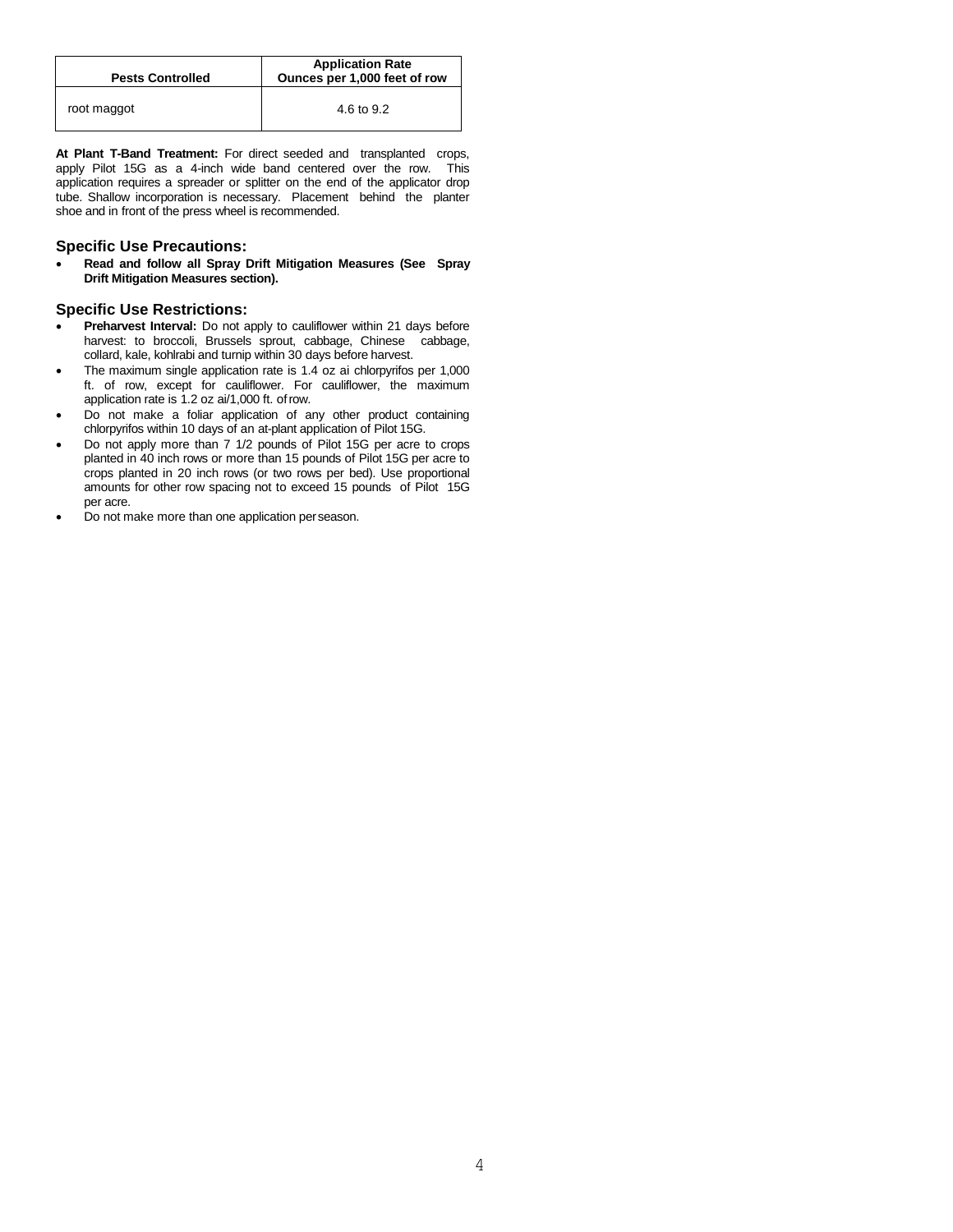| <b>Pests Controlled</b> | <b>Application Rate</b><br>Ounces per 1,000 feet of row |
|-------------------------|---------------------------------------------------------|
| root maggot             | 4.6 to 9.2                                              |

**At Plant T-Band Treatment:** For direct seeded and transplanted crops, apply Pilot 15G as a 4-inch wide band centered over the row. This application requires a spreader or splitter on the end of the applicator drop tube. Shallow incorporation is necessary. Placement behind the planter shoe and in front of the press wheel is recommended.

## **Specific Use Precautions:**

• **Read and follow all Spray Drift Mitigation Measures (See Spray Drift Mitigation Measures section).**

## **Specific Use Restrictions:**

- **Preharvest Interval:** Do not apply to cauliflower within 21 days before harvest: to broccoli, Brussels sprout, cabbage, Chinese cabbage, collard, kale, kohlrabi and turnip within 30 days before harvest.
- The maximum single application rate is 1.4 oz ai chlorpyrifos per 1,000 ft. of row, except for cauliflower. For cauliflower, the maximum application rate is 1.2 oz ai/1,000 ft. ofrow.
- Do not make a foliar application of any other product containing chlorpyrifos within 10 days of an at-plant application of Pilot 15G.
- Do not apply more than 7 1/2 pounds of Pilot 15G per acre to crops planted in 40 inch rows or more than 15 pounds of Pilot 15G per acre to crops planted in 20 inch rows (or two rows per bed). Use proportional amounts for other row spacing not to exceed 15 pounds of Pilot 15G per acre.
- Do not make more than one application perseason.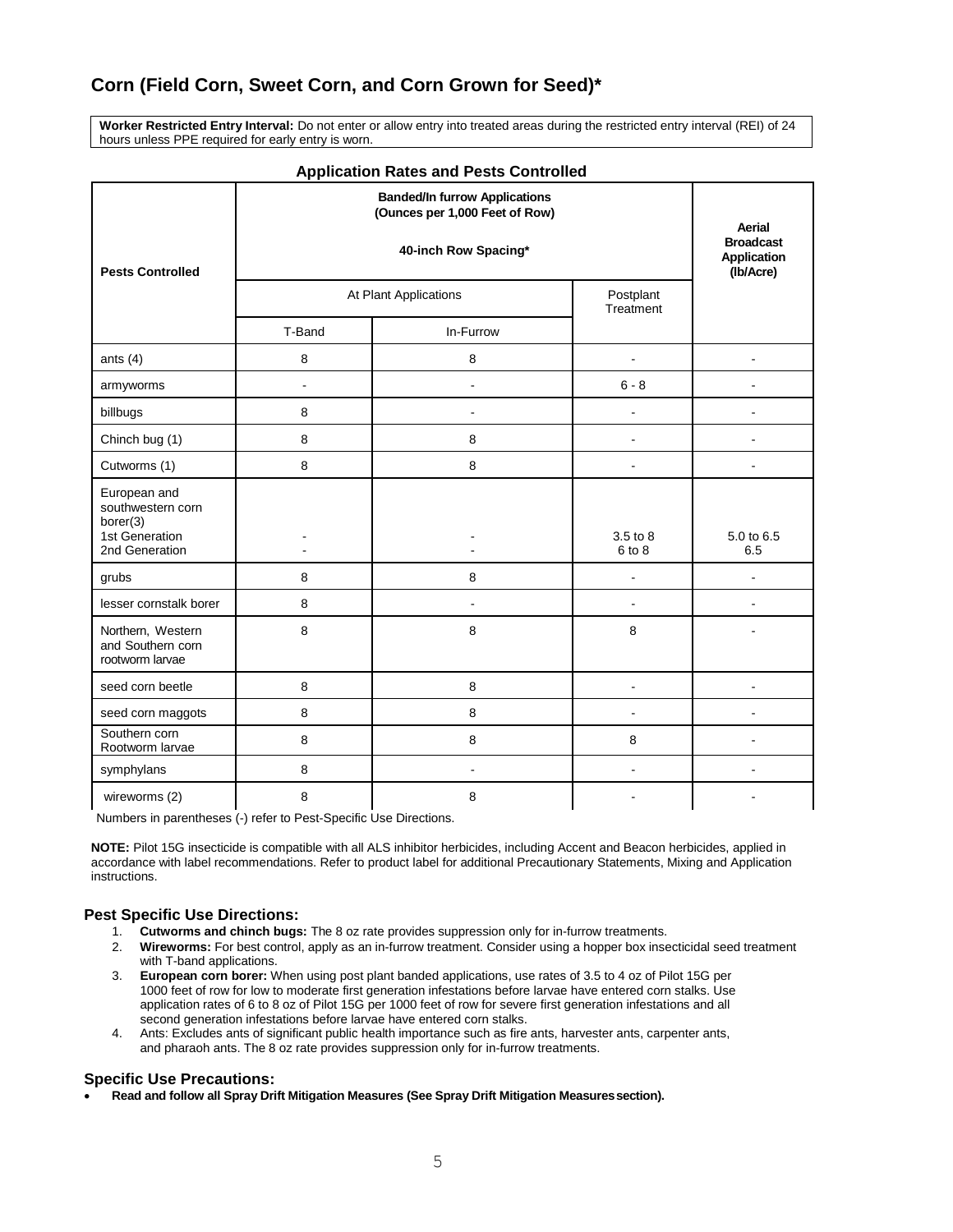# **Corn (Field Corn, Sweet Corn, and Corn Grown for Seed)\***

**Worker Restricted Entry Interval:** Do not enter or allow entry into treated areas during the restricted entry interval (REI) of 24 hours unless PPE required for early entry is worn.

| <b>Application Rates and Fests Controlled</b>             |        |                                                                        |                          |                   |
|-----------------------------------------------------------|--------|------------------------------------------------------------------------|--------------------------|-------------------|
|                                                           |        | <b>Banded/In furrow Applications</b><br>(Ounces per 1,000 Feet of Row) |                          | Aerial            |
| <b>Pests Controlled</b>                                   |        | <b>Broadcast</b><br><b>Application</b><br>(Ib/Acre)                    |                          |                   |
|                                                           |        | At Plant Applications                                                  | Postplant<br>Treatment   |                   |
|                                                           | T-Band | In-Furrow                                                              |                          |                   |
| ants $(4)$                                                | 8      | 8                                                                      |                          |                   |
| armyworms                                                 | ÷      | $\overline{a}$                                                         | $6 - 8$                  |                   |
| billbugs                                                  | 8      |                                                                        |                          |                   |
| Chinch bug (1)                                            | 8      | 8                                                                      | ÷                        |                   |
| Cutworms (1)                                              | 8      | 8                                                                      | ÷.                       | ÷.                |
| European and<br>southwestern corn<br>borer(3)             |        |                                                                        |                          |                   |
| 1st Generation<br>2nd Generation                          |        |                                                                        | 3.5 to 8<br>6 to 8       | 5.0 to 6.5<br>6.5 |
| grubs                                                     | 8      | 8                                                                      |                          |                   |
| lesser cornstalk borer                                    | 8      | $\overline{a}$                                                         | $\overline{a}$           |                   |
| Northern, Western<br>and Southern corn<br>rootworm larvae | 8      | 8                                                                      | 8                        |                   |
| seed corn beetle                                          | 8      | 8                                                                      | $\blacksquare$           | ä,                |
| seed corn maggots                                         | 8      | 8                                                                      | $\overline{\phantom{a}}$ |                   |
| Southern corn<br>Rootworm larvae                          | 8      | 8                                                                      | 8                        |                   |
| symphylans                                                | 8      | $\blacksquare$                                                         | $\blacksquare$           | ÷                 |
| wireworms (2)                                             | 8      | 8                                                                      |                          |                   |

## **Application Rates and Pests Controlled**

Numbers in parentheses (-) refer to Pest-Specific Use Directions.

**NOTE:** Pilot 15G insecticide is compatible with all ALS inhibitor herbicides, including Accent and Beacon herbicides, applied in accordance with label recommendations. Refer to product label for additional Precautionary Statements, Mixing and Application instructions.

## **Pest Specific Use Directions:**

- 1. **Cutworms and chinch bugs:** The 8 oz rate provides suppression only for in-furrow treatments.
- 2. **Wireworms:** For best control, apply as an in-furrow treatment. Consider using a hopper box insecticidal seed treatment with T-band applications.
- 3. **European corn borer:** When using post plant banded applications, use rates of 3.5 to 4 oz of Pilot 15G per 1000 feet of row for low to moderate first generation infestations before larvae have entered corn stalks. Use application rates of 6 to 8 oz of Pilot 15G per 1000 feet of row for severe first generation infestations and all second generation infestations before larvae have entered corn stalks.
- 4. Ants: Excludes ants of significant public health importance such as fire ants, harvester ants, carpenter ants, and pharaoh ants. The 8 oz rate provides suppression only for in-furrow treatments.

#### **Specific Use Precautions:**

• **Read and follow all Spray Drift Mitigation Measures (See Spray Drift Mitigation Measuressection).**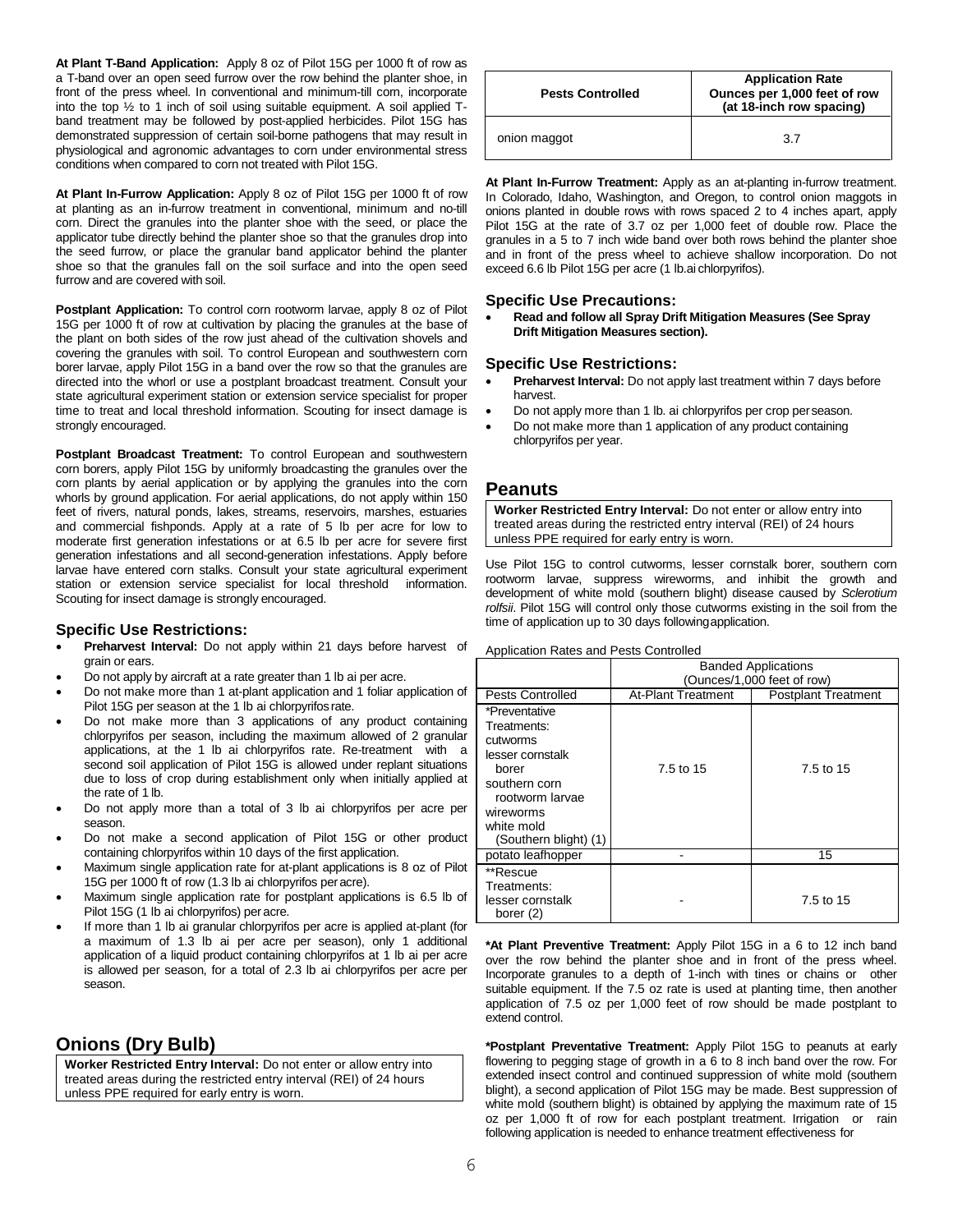**At Plant T-Band Application:** Apply 8 oz of Pilot 15G per 1000 ft of row as a T-band over an open seed furrow over the row behind the planter shoe, in front of the press wheel. In conventional and minimum-till corn, incorporate into the top  $\frac{1}{2}$  to 1 inch of soil using suitable equipment. A soil applied Tband treatment may be followed by post-applied herbicides. Pilot 15G has demonstrated suppression of certain soil-borne pathogens that may result in physiological and agronomic advantages to corn under environmental stress conditions when compared to corn not treated with Pilot 15G.

**At Plant In-Furrow Application:** Apply 8 oz of Pilot 15G per 1000 ft of row at planting as an in-furrow treatment in conventional, minimum and no-till corn. Direct the granules into the planter shoe with the seed, or place the applicator tube directly behind the planter shoe so that the granules drop into the seed furrow, or place the granular band applicator behind the planter shoe so that the granules fall on the soil surface and into the open seed furrow and are covered with soil.

**Postplant Application:** To control corn rootworm larvae, apply 8 oz of Pilot 15G per 1000 ft of row at cultivation by placing the granules at the base of the plant on both sides of the row just ahead of the cultivation shovels and covering the granules with soil. To control European and southwestern corn borer larvae, apply Pilot 15G in a band over the row so that the granules are directed into the whorl or use a postplant broadcast treatment. Consult your state agricultural experiment station or extension service specialist for proper time to treat and local threshold information. Scouting for insect damage is strongly encouraged.

**Postplant Broadcast Treatment:** To control European and southwestern corn borers, apply Pilot 15G by uniformly broadcasting the granules over the corn plants by aerial application or by applying the granules into the corn whorls by ground application. For aerial applications, do not apply within 150 feet of rivers, natural ponds, lakes, streams, reservoirs, marshes, estuaries and commercial fishponds. Apply at a rate of 5 lb per acre for low to moderate first generation infestations or at 6.5 lb per acre for severe first generation infestations and all second-generation infestations. Apply before larvae have entered corn stalks. Consult your state agricultural experiment station or extension service specialist for local threshold information. Scouting for insect damage is strongly encouraged.

## **Specific Use Restrictions:**

- **Preharvest Interval:** Do not apply within 21 days before harvest of grain or ears.
- Do not apply by aircraft at a rate greater than 1 lb ai per acre.
- Do not make more than 1 at-plant application and 1 foliar application of Pilot 15G per season at the 1 lb ai chlorpyrifos rate.
- Do not make more than 3 applications of any product containing chlorpyrifos per season, including the maximum allowed of 2 granular applications, at the 1 lb ai chlorpyrifos rate. Re-treatment with a second soil application of Pilot 15G is allowed under replant situations due to loss of crop during establishment only when initially applied at the rate of 1 lb.
- Do not apply more than a total of 3 lb ai chlorpyrifos per acre per season.
- Do not make a second application of Pilot 15G or other product containing chlorpyrifos within 10 days of the first application.
- Maximum single application rate for at-plant applications is 8 oz of Pilot 15G per 1000 ft of row (1.3 lb ai chlorpyrifos peracre).
- Maximum single application rate for postplant applications is 6.5 lb of Pilot 15G (1 lb ai chlorpyrifos) per acre.
- If more than 1 lb ai granular chlorpyrifos per acre is applied at-plant (for a maximum of 1.3 lb ai per acre per season), only 1 additional application of a liquid product containing chlorpyrifos at 1 lb ai per acre is allowed per season, for a total of 2.3 lb ai chlorpyrifos per acre per season.

# **Onions (Dry Bulb)**

**Worker Restricted Entry Interval:** Do not enter or allow entry into treated areas during the restricted entry interval (REI) of 24 hours unless PPE required for early entry is worn.

| <b>Pests Controlled</b> | <b>Application Rate</b><br>Ounces per 1,000 feet of row<br>(at 18-inch row spacing) |
|-------------------------|-------------------------------------------------------------------------------------|
| onion maggot            | 37                                                                                  |

**At Plant In-Furrow Treatment:** Apply as an at-planting in-furrow treatment. In Colorado, Idaho, Washington, and Oregon, to control onion maggots in onions planted in double rows with rows spaced 2 to 4 inches apart, apply Pilot 15G at the rate of 3.7 oz per 1,000 feet of double row. Place the granules in a 5 to 7 inch wide band over both rows behind the planter shoe and in front of the press wheel to achieve shallow incorporation. Do not exceed 6.6 lb Pilot 15G per acre (1 lb.ai chlorpyrifos).

## **Specific Use Precautions:**

• **Read and follow all Spray Drift Mitigation Measures (See Spray Drift Mitigation Measures section).**

## **Specific Use Restrictions:**

- **Preharvest Interval:** Do not apply last treatment within 7 days before harvest.
- Do not apply more than 1 lb. ai chlorpyrifos per crop perseason.
- Do not make more than 1 application of any product containing chlorpyrifos per year.

## **Peanuts**

**Worker Restricted Entry Interval:** Do not enter or allow entry into treated areas during the restricted entry interval (REI) of 24 hours unless PPE required for early entry is worn.

Use Pilot 15G to control cutworms, lesser cornstalk borer, southern corn rootworm larvae, suppress wireworms, and inhibit the growth and development of white mold (southern blight) disease caused by *Sclerotium rolfsii*. Pilot 15G will control only those cutworms existing in the soil from the time of application up to 30 days followingapplication.

Application Rates and Pests Controlled

|                                                                                                                                                               | <b>Banded Applications</b><br>(Ounces/1,000 feet of row) |                            |
|---------------------------------------------------------------------------------------------------------------------------------------------------------------|----------------------------------------------------------|----------------------------|
| <b>Pests Controlled</b>                                                                                                                                       | <b>At-Plant Treatment</b>                                | <b>Postplant Treatment</b> |
| *Preventative<br>Treatments:<br>cutworms<br>lesser cornstalk<br>borer<br>southern corn<br>rootworm larvae<br>wireworms<br>white mold<br>(Southern blight) (1) | 7.5 to 15                                                | 7.5 to 15                  |
| potato leafhopper                                                                                                                                             |                                                          | 15                         |
| **Rescue<br>Treatments:<br>lesser cornstalk<br>borer (2)                                                                                                      |                                                          | 7.5 to 15                  |

**\*At Plant Preventive Treatment:** Apply Pilot 15G in a 6 to 12 inch band over the row behind the planter shoe and in front of the press wheel. Incorporate granules to a depth of 1-inch with tines or chains or other suitable equipment. If the 7.5 oz rate is used at planting time, then another application of 7.5 oz per 1,000 feet of row should be made postplant to extend control.

**\*Postplant Preventative Treatment:** Apply Pilot 15G to peanuts at early flowering to pegging stage of growth in a 6 to 8 inch band over the row. For extended insect control and continued suppression of white mold (southern blight), a second application of Pilot 15G may be made. Best suppression of white mold (southern blight) is obtained by applying the maximum rate of 15 oz per 1,000 ft of row for each postplant treatment. Irrigation or rain following application is needed to enhance treatment effectiveness for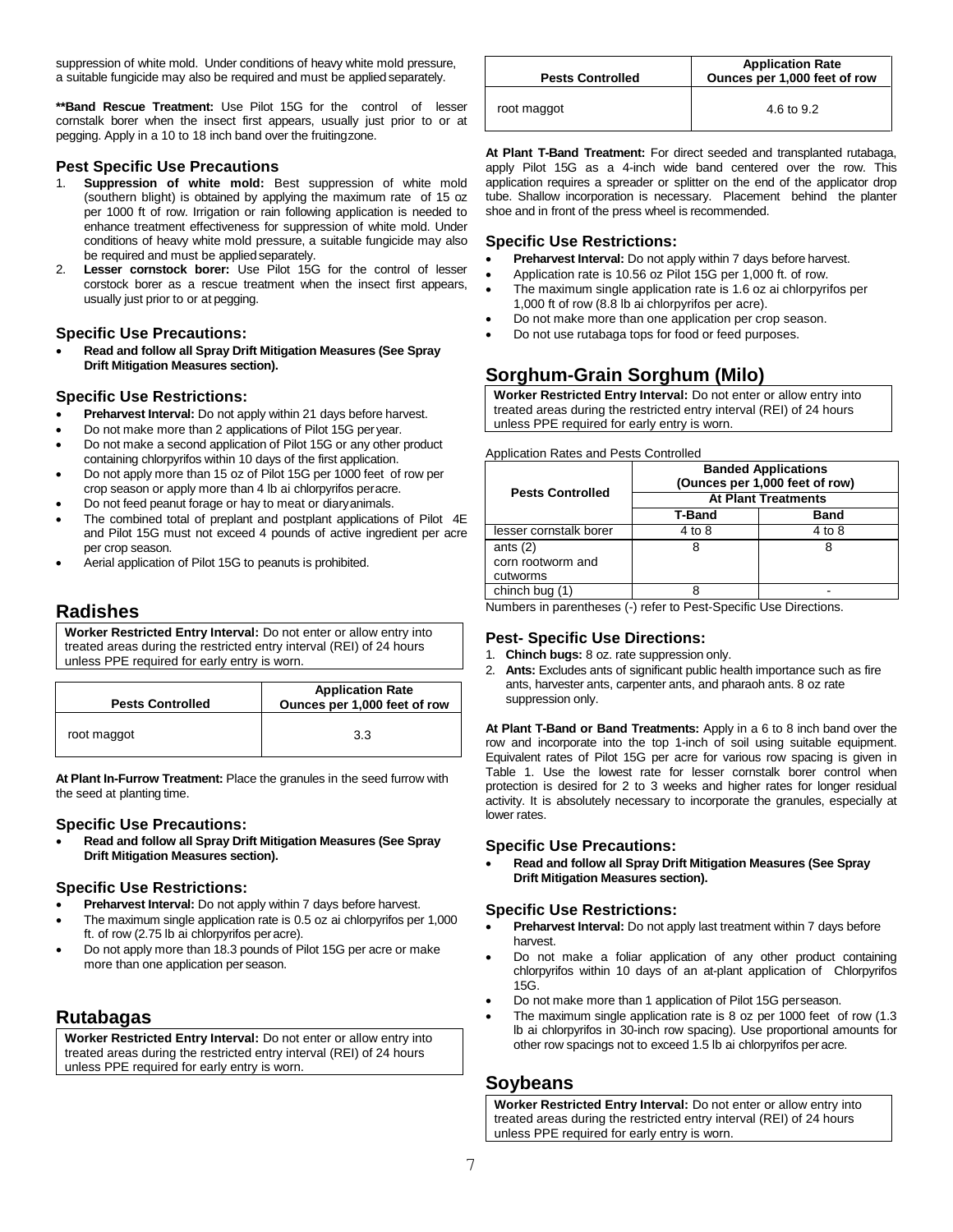suppression of white mold. Under conditions of heavy white mold pressure, a suitable fungicide may also be required and must be applied separately.

**\*\*Band Rescue Treatment:** Use Pilot 15G for the control of lesser cornstalk borer when the insect first appears, usually just prior to or at pegging. Apply in a 10 to 18 inch band over the fruitingzone.

## **Pest Specific Use Precautions**

- 1. **Suppression of white mold:** Best suppression of white mold (southern blight) is obtained by applying the maximum rate of 15 oz per 1000 ft of row. Irrigation or rain following application is needed to enhance treatment effectiveness for suppression of white mold. Under conditions of heavy white mold pressure, a suitable fungicide may also be required and must be applied separately.
- 2. **Lesser cornstock borer:** Use Pilot 15G for the control of lesser corstock borer as a rescue treatment when the insect first appears, usually just prior to or at pegging.

## **Specific Use Precautions:**

• **Read and follow all Spray Drift Mitigation Measures (See Spray Drift Mitigation Measures section).**

## **Specific Use Restrictions:**

- **Preharvest Interval:** Do not apply within 21 days before harvest.
- Do not make more than 2 applications of Pilot 15G peryear.
- Do not make a second application of Pilot 15G or any other product containing chlorpyrifos within 10 days of the first application.
- Do not apply more than 15 oz of Pilot 15G per 1000 feet of row per crop season or apply more than 4 lb ai chlorpyrifos peracre.
- Do not feed peanut forage or hay to meat or diaryanimals.
- The combined total of preplant and postplant applications of Pilot 4E and Pilot 15G must not exceed 4 pounds of active ingredient per acre per crop season.
- Aerial application of Pilot 15G to peanuts is prohibited.

## **Radishes**

**Worker Restricted Entry Interval:** Do not enter or allow entry into treated areas during the restricted entry interval (REI) of 24 hours unless PPE required for early entry is worn.

| <b>Pests Controlled</b> | <b>Application Rate</b><br>Ounces per 1,000 feet of row |
|-------------------------|---------------------------------------------------------|
| root maggot             | 3.3                                                     |

**At Plant In-Furrow Treatment:** Place the granules in the seed furrow with the seed at planting time.

#### **Specific Use Precautions:**

• **Read and follow all Spray Drift Mitigation Measures (See Spray Drift Mitigation Measures section).**

#### **Specific Use Restrictions:**

- **Preharvest Interval:** Do not apply within 7 days before harvest.
- The maximum single application rate is 0.5 oz ai chlorpyrifos per 1,000 ft. of row (2.75 lb ai chlorpyrifos peracre).
- Do not apply more than 18.3 pounds of Pilot 15G per acre or make more than one application per season.

## **Rutabagas**

**Worker Restricted Entry Interval:** Do not enter or allow entry into treated areas during the restricted entry interval (REI) of 24 hours unless PPE required for early entry is worn.

| <b>Pests Controlled</b> | <b>Application Rate</b><br>Ounces per 1,000 feet of row |  |  |  |  |
|-------------------------|---------------------------------------------------------|--|--|--|--|
| root maggot             | 4.6 to 9.2                                              |  |  |  |  |

**At Plant T-Band Treatment:** For direct seeded and transplanted rutabaga, apply Pilot 15G as a 4-inch wide band centered over the row. This application requires a spreader or splitter on the end of the applicator drop tube. Shallow incorporation is necessary. Placement behind the planter shoe and in front of the press wheel is recommended.

## **Specific Use Restrictions:**

- **Preharvest Interval:** Do not apply within 7 days before harvest.
- Application rate is 10.56 oz Pilot 15G per 1,000 ft. of row.
- The maximum single application rate is 1.6 oz ai chlorpyrifos per 1,000 ft of row (8.8 lb ai chlorpyrifos per acre).
- Do not make more than one application per crop season.
- Do not use rutabaga tops for food or feed purposes.

# **Sorghum-Grain Sorghum (Milo)**

**Worker Restricted Entry Interval:** Do not enter or allow entry into treated areas during the restricted entry interval (REI) of 24 hours unless PPE required for early entry is worn.

Application Rates and Pests Controlled

| <b>Pests Controlled</b> | <b>Banded Applications</b><br>(Ounces per 1,000 feet of row) |        |  |  |  |  |
|-------------------------|--------------------------------------------------------------|--------|--|--|--|--|
|                         | <b>At Plant Treatments</b>                                   |        |  |  |  |  |
|                         | <b>T-Band</b>                                                | Band   |  |  |  |  |
| lesser cornstalk borer  | 4 to 8                                                       | 4 to 8 |  |  |  |  |
| ants $(2)$              | 8                                                            |        |  |  |  |  |
| corn rootworm and       |                                                              |        |  |  |  |  |
| cutworms                |                                                              |        |  |  |  |  |
| chinch bug (1)          |                                                              |        |  |  |  |  |

Numbers in parentheses (-) refer to Pest-Specific Use Directions.

## **Pest- Specific Use Directions:**

- 1. **Chinch bugs:** 8 oz. rate suppression only.
- 2. **Ants:** Excludes ants of significant public health importance such as fire ants, harvester ants, carpenter ants, and pharaoh ants. 8 oz rate suppression only.

**At Plant T-Band or Band Treatments:** Apply in a 6 to 8 inch band over the row and incorporate into the top 1-inch of soil using suitable equipment. Equivalent rates of Pilot 15G per acre for various row spacing is given in Table 1. Use the lowest rate for lesser cornstalk borer control when protection is desired for 2 to 3 weeks and higher rates for longer residual activity. It is absolutely necessary to incorporate the granules, especially at lower rates.

#### **Specific Use Precautions:**

• **Read and follow all Spray Drift Mitigation Measures (See Spray Drift Mitigation Measures section).**

## **Specific Use Restrictions:**

- **Preharvest Interval:** Do not apply last treatment within 7 days before harvest.
- Do not make a foliar application of any other product containing chlorpyrifos within 10 days of an at-plant application of Chlorpyrifos 15G.
- Do not make more than 1 application of Pilot 15G perseason.
- The maximum single application rate is 8 oz per 1000 feet of row (1.3 lb ai chlorpyrifos in 30-inch row spacing). Use proportional amounts for other row spacings not to exceed 1.5 lb ai chlorpyrifos per acre.

## **Soybeans**

**Worker Restricted Entry Interval:** Do not enter or allow entry into treated areas during the restricted entry interval (REI) of 24 hours unless PPE required for early entry is worn.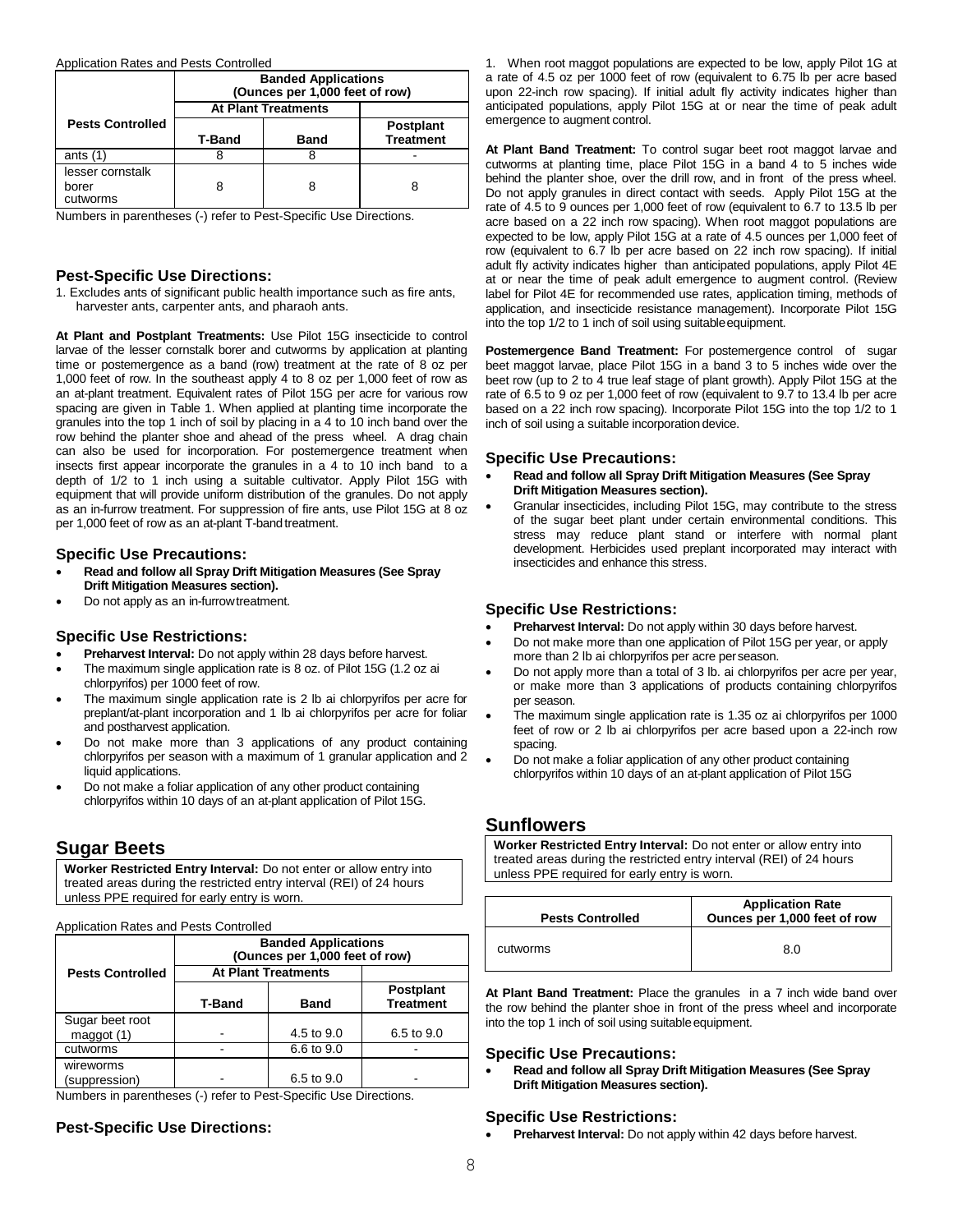Application Rates and Pests Controlled

|                                       | <b>Banded Applications</b><br>(Ounces per 1,000 feet of row) |                  |  |  |  |  |  |
|---------------------------------------|--------------------------------------------------------------|------------------|--|--|--|--|--|
|                                       | <b>At Plant Treatments</b>                                   |                  |  |  |  |  |  |
| <b>Pests Controlled</b>               |                                                              | <b>Postplant</b> |  |  |  |  |  |
|                                       | <b>T-Band</b>                                                | <b>Treatment</b> |  |  |  |  |  |
| ants $(1)$                            | x                                                            | x                |  |  |  |  |  |
| lesser cornstalk<br>borer<br>cutworms | 8                                                            | 8                |  |  |  |  |  |

Numbers in parentheses (-) refer to Pest-Specific Use Directions.

## **Pest-Specific Use Directions:**

1. Excludes ants of significant public health importance such as fire ants, harvester ants, carpenter ants, and pharaoh ants.

**At Plant and Postplant Treatments:** Use Pilot 15G insecticide to control larvae of the lesser cornstalk borer and cutworms by application at planting time or postemergence as a band (row) treatment at the rate of 8 oz per 1,000 feet of row. In the southeast apply 4 to 8 oz per 1,000 feet of row as an at-plant treatment. Equivalent rates of Pilot 15G per acre for various row spacing are given in Table 1. When applied at planting time incorporate the granules into the top 1 inch of soil by placing in a 4 to 10 inch band over the row behind the planter shoe and ahead of the press wheel. A drag chain can also be used for incorporation. For postemergence treatment when insects first appear incorporate the granules in a 4 to 10 inch band to a depth of 1/2 to 1 inch using a suitable cultivator. Apply Pilot 15G with equipment that will provide uniform distribution of the granules. Do not apply as an in-furrow treatment. For suppression of fire ants, use Pilot 15G at 8 oz per 1,000 feet of row as an at-plant T-band treatment.

## **Specific Use Precautions:**

- **Read and follow all Spray Drift Mitigation Measures (See Spray Drift Mitigation Measures section).**
- Do not apply as an in-furrowtreatment.

## **Specific Use Restrictions:**

- **Preharvest Interval:** Do not apply within 28 days before harvest.
- The maximum single application rate is 8 oz. of Pilot 15G (1.2 oz ai chlorpyrifos) per 1000 feet of row.
- The maximum single application rate is 2 lb ai chlorpyrifos per acre for preplant/at-plant incorporation and 1 lb ai chlorpyrifos per acre for foliar and postharvest application.
- Do not make more than 3 applications of any product containing chlorpyrifos per season with a maximum of 1 granular application and 2 liquid applications.
- Do not make a foliar application of any other product containing chlorpyrifos within 10 days of an at-plant application of Pilot 15G.

## **Sugar Beets**

**Worker Restricted Entry Interval:** Do not enter or allow entry into treated areas during the restricted entry interval (REI) of 24 hours unless PPE required for early entry is worn.

Application Rates and Pests Controlled

|                              | <b>Banded Applications</b><br>(Ounces per 1,000 feet of row) |            |                                      |  |  |  |  |
|------------------------------|--------------------------------------------------------------|------------|--------------------------------------|--|--|--|--|
| <b>Pests Controlled</b>      | <b>At Plant Treatments</b>                                   |            |                                      |  |  |  |  |
|                              | T-Band                                                       | Band       | <b>Postplant</b><br><b>Treatment</b> |  |  |  |  |
| Sugar beet root<br>maggot(1) |                                                              | 4.5 to 9.0 | 6.5 to 9.0                           |  |  |  |  |
| cutworms                     |                                                              | 6.6 to 9.0 |                                      |  |  |  |  |
| wireworms<br>(suppression)   |                                                              | 6.5 to 9.0 |                                      |  |  |  |  |

Numbers in parentheses (-) refer to Pest-Specific Use Directions.

## **Pest-Specific Use Directions:**

1. When root maggot populations are expected to be low, apply Pilot 1G at a rate of 4.5 oz per 1000 feet of row (equivalent to 6.75 lb per acre based upon 22-inch row spacing). If initial adult fly activity indicates higher than anticipated populations, apply Pilot 15G at or near the time of peak adult emergence to augment control.

**At Plant Band Treatment:** To control sugar beet root maggot larvae and cutworms at planting time, place Pilot 15G in a band 4 to 5 inches wide behind the planter shoe, over the drill row, and in front of the press wheel. Do not apply granules in direct contact with seeds. Apply Pilot 15G at the rate of 4.5 to 9 ounces per 1,000 feet of row (equivalent to 6.7 to 13.5 lb per acre based on a 22 inch row spacing). When root maggot populations are expected to be low, apply Pilot 15G at a rate of 4.5 ounces per 1,000 feet of row (equivalent to 6.7 lb per acre based on 22 inch row spacing). If initial adult fly activity indicates higher than anticipated populations, apply Pilot 4E at or near the time of peak adult emergence to augment control. (Review label for Pilot 4E for recommended use rates, application timing, methods of application, and insecticide resistance management). Incorporate Pilot 15G into the top 1/2 to 1 inch of soil using suitable equipment.

**Postemergence Band Treatment:** For postemergence control of sugar beet maggot larvae, place Pilot 15G in a band 3 to 5 inches wide over the beet row (up to 2 to 4 true leaf stage of plant growth). Apply Pilot 15G at the rate of 6.5 to 9 oz per 1,000 feet of row (equivalent to 9.7 to 13.4 lb per acre based on a 22 inch row spacing). Incorporate Pilot 15G into the top 1/2 to 1 inch of soil using a suitable incorporation device.

## **Specific Use Precautions:**

- **Read and follow all Spray Drift Mitigation Measures (See Spray Drift Mitigation Measures section).**
- Granular insecticides, including Pilot 15G, may contribute to the stress of the sugar beet plant under certain environmental conditions. This stress may reduce plant stand or interfere with normal plant development. Herbicides used preplant incorporated may interact with insecticides and enhance this stress.

## **Specific Use Restrictions:**

- **Preharvest Interval:** Do not apply within 30 days before harvest.
- Do not make more than one application of Pilot 15G per year, or apply more than 2 lb ai chlorpyrifos per acre perseason.
- Do not apply more than a total of 3 lb. ai chlorpyrifos per acre per year, or make more than 3 applications of products containing chlorpyrifos per season.
- The maximum single application rate is 1.35 oz ai chlorpyrifos per 1000 feet of row or 2 lb ai chlorpyrifos per acre based upon a 22-inch row spacing.
- Do not make a foliar application of any other product containing chlorpyrifos within 10 days of an at-plant application of Pilot 15G

## **Sunflowers**

**Worker Restricted Entry Interval:** Do not enter or allow entry into treated areas during the restricted entry interval (REI) of 24 hours unless PPE required for early entry is worn.

| <b>Pests Controlled</b> | <b>Application Rate</b><br>Ounces per 1,000 feet of row |  |  |  |  |
|-------------------------|---------------------------------------------------------|--|--|--|--|
| cutworms                | 8.0                                                     |  |  |  |  |

**At Plant Band Treatment:** Place the granules in a 7 inch wide band over the row behind the planter shoe in front of the press wheel and incorporate into the top 1 inch of soil using suitable equipment.

### **Specific Use Precautions:**

• **Read and follow all Spray Drift Mitigation Measures (See Spray Drift Mitigation Measures section).**

## **Specific Use Restrictions:**

• **Preharvest Interval:** Do not apply within 42 days before harvest.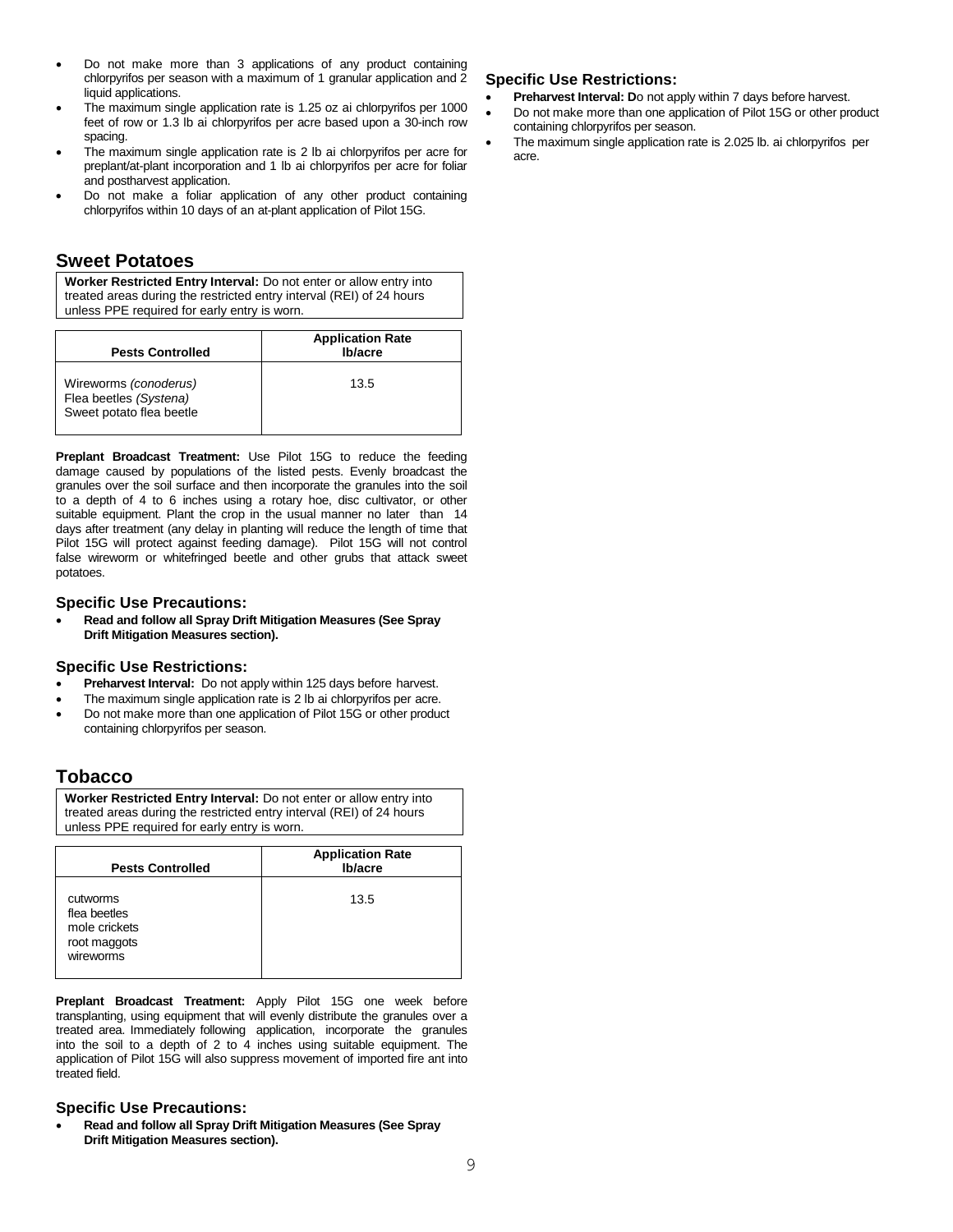- Do not make more than 3 applications of any product containing chlorpyrifos per season with a maximum of 1 granular application and 2 liquid applications.
- The maximum single application rate is 1.25 oz ai chlorpyrifos per 1000 feet of row or 1.3 lb ai chlorpyrifos per acre based upon a 30-inch row spacing.
- The maximum single application rate is 2 lb ai chlorpyrifos per acre for preplant/at-plant incorporation and 1 lb ai chlorpyrifos per acre for foliar and postharvest application.
- Do not make a foliar application of any other product containing chlorpyrifos within 10 days of an at-plant application of Pilot 15G.

## **Sweet Potatoes**

**Worker Restricted Entry Interval:** Do not enter or allow entry into treated areas during the restricted entry interval (REI) of 24 hours unless PPE required for early entry is worn.

| <b>Pests Controlled</b>                                                     | <b>Application Rate</b><br>Ib/acre |
|-----------------------------------------------------------------------------|------------------------------------|
| Wireworms (conoderus)<br>Flea beetles (Systena)<br>Sweet potato flea beetle | 13.5                               |

**Preplant Broadcast Treatment:** Use Pilot 15G to reduce the feeding damage caused by populations of the listed pests. Evenly broadcast the granules over the soil surface and then incorporate the granules into the soil to a depth of 4 to 6 inches using a rotary hoe, disc cultivator, or other suitable equipment. Plant the crop in the usual manner no later than 14 days after treatment (any delay in planting will reduce the length of time that Pilot 15G will protect against feeding damage). Pilot 15G will not control false wireworm or whitefringed beetle and other grubs that attack sweet potatoes.

## **Specific Use Precautions:**

• **Read and follow all Spray Drift Mitigation Measures (See Spray Drift Mitigation Measures section).**

## **Specific Use Restrictions:**

- **Preharvest Interval:** Do not apply within 125 days before harvest.
- The maximum single application rate is 2 lb ai chlorpyrifos per acre.
- Do not make more than one application of Pilot 15G or other product containing chlorpyrifos per season.

## **Tobacco**

**Worker Restricted Entry Interval:** Do not enter or allow entry into treated areas during the restricted entry interval (REI) of 24 hours unless PPE required for early entry is worn.

| <b>Pests Controlled</b>                                                | <b>Application Rate</b><br>Ib/acre |  |  |  |
|------------------------------------------------------------------------|------------------------------------|--|--|--|
| cutworms<br>flea beetles<br>mole crickets<br>root maggots<br>wireworms | 13.5                               |  |  |  |

**Preplant Broadcast Treatment:** Apply Pilot 15G one week before transplanting, using equipment that will evenly distribute the granules over a treated area. Immediately following application, incorporate the granules into the soil to a depth of 2 to 4 inches using suitable equipment. The application of Pilot 15G will also suppress movement of imported fire ant into treated field.

## **Specific Use Precautions:**

• **Read and follow all Spray Drift Mitigation Measures (See Spray Drift Mitigation Measures section).**

## **Specific Use Restrictions:**

- **Preharvest Interval: Do not apply within 7 days before harvest.**
- Do not make more than one application of Pilot 15G or other product containing chlorpyrifos per season.
- The maximum single application rate is 2.025 lb. ai chlorpyrifos per acre.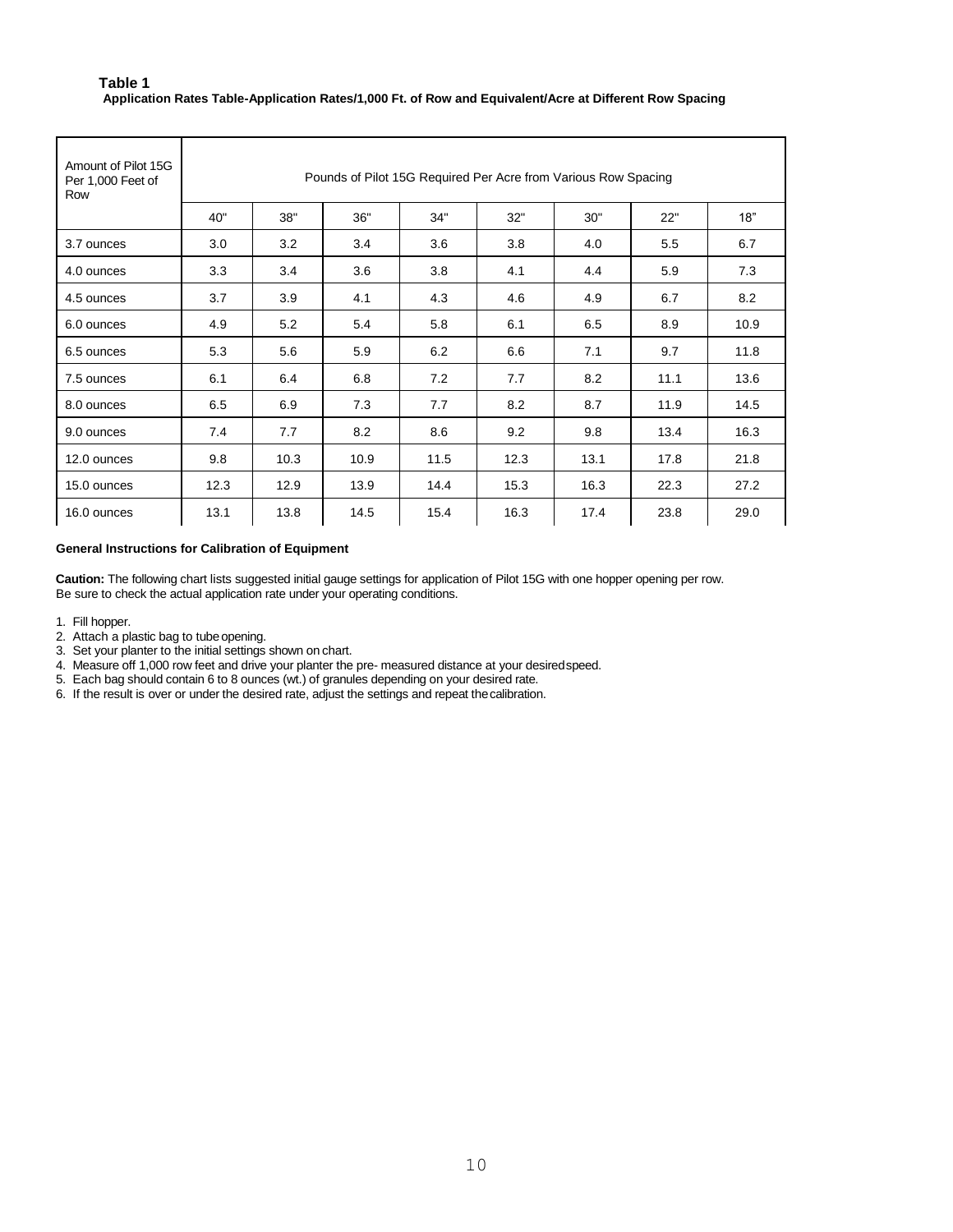## **Table 1 Application Rates Table-Application Rates/1,000 Ft. of Row and Equivalent/Acre at Different Row Spacing**

| Amount of Pilot 15G<br>Per 1,000 Feet of<br>Row | Pounds of Pilot 15G Required Per Acre from Various Row Spacing |                                               |      |      |      |      |      |      |  |  |  |
|-------------------------------------------------|----------------------------------------------------------------|-----------------------------------------------|------|------|------|------|------|------|--|--|--|
|                                                 | 40"                                                            | 38"<br>36"<br>34"<br>32"<br>30"<br>22"<br>18" |      |      |      |      |      |      |  |  |  |
| 3.7 ounces                                      | 3.0                                                            | 3.2                                           | 3.4  | 3.6  | 3.8  | 4.0  | 5.5  | 6.7  |  |  |  |
| 4.0 ounces                                      | 3.3                                                            | 3.4                                           | 3.6  | 3.8  | 4.1  | 4.4  | 5.9  | 7.3  |  |  |  |
| 4.5 ounces                                      | 3.7                                                            | 3.9                                           | 4.1  | 4.3  | 4.6  | 4.9  | 6.7  | 8.2  |  |  |  |
| 6.0 ounces                                      | 4.9                                                            | 5.2                                           | 5.4  | 5.8  | 6.1  | 6.5  | 8.9  | 10.9 |  |  |  |
| 6.5 ounces                                      | 5.3                                                            | 5.6                                           | 5.9  | 6.2  | 6.6  | 7.1  | 9.7  | 11.8 |  |  |  |
| 7.5 ounces                                      | 6.1                                                            | 6.4                                           | 6.8  | 7.2  | 7.7  | 8.2  | 11.1 | 13.6 |  |  |  |
| 8.0 ounces                                      | 6.5                                                            | 6.9                                           | 7.3  | 7.7  | 8.2  | 8.7  | 11.9 | 14.5 |  |  |  |
| 9.0 ounces                                      | 7.4                                                            | 7.7                                           | 8.2  | 8.6  | 9.2  | 9.8  | 13.4 | 16.3 |  |  |  |
| 12.0 ounces                                     | 9.8                                                            | 10.3                                          | 10.9 | 11.5 | 12.3 | 13.1 | 17.8 | 21.8 |  |  |  |
| 15.0 ounces                                     | 12.3                                                           | 12.9                                          | 13.9 | 14.4 | 15.3 | 16.3 | 22.3 | 27.2 |  |  |  |
| 16.0 ounces                                     | 13.1                                                           | 13.8                                          | 14.5 | 15.4 | 16.3 | 17.4 | 23.8 | 29.0 |  |  |  |

## **General Instructions for Calibration of Equipment**

**Caution:** The following chart lists suggested initial gauge settings for application of Pilot 15G with one hopper opening per row. Be sure to check the actual application rate under your operating conditions.

- 1. Fill hopper.
- 2. Attach a plastic bag to tube opening.
- 3. Set your planter to the initial settings shown on chart.
- 4. Measure off 1,000 row feet and drive your planter the pre- measured distance at your desiredspeed.
- 5. Each bag should contain 6 to 8 ounces (wt.) of granules depending on your desired rate.
- 6. If the result is over or under the desired rate, adjust the settings and repeat thecalibration.